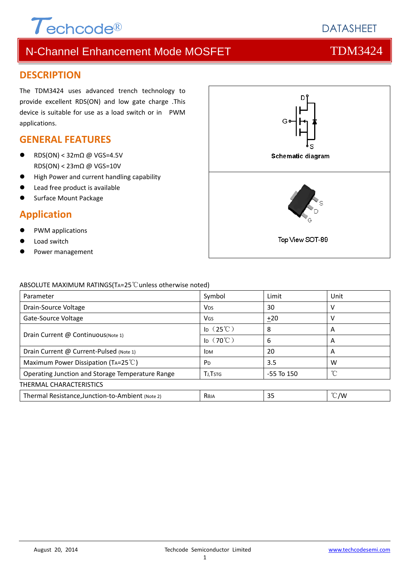

# N-Channel Enhancement Mode MOSFET THE TDM3424

### **DESCRIPTION**

The TDM3424 uses advanced trench technology to provide excellent RDS(ON) and low gate charge .This device is suitable for use as a load switch or in PWM applications.

### **GENERAL FEATURES**

- RDS(ON) < 32mΩ @ VGS=4.5V RDS(ON) < 23mΩ @ VGS=10V
- High Power and current handling capability
- Lead free product is available
- Surface Mount Package

### **Application**

- PWM applications
- Load switch
- Power management



### ABSOLUTE MAXIMUM RATINGS(TA=25℃unless otherwise noted)

| Parameter                                        | Symbol                 | Limit          | Unit          |  |  |  |  |
|--------------------------------------------------|------------------------|----------------|---------------|--|--|--|--|
| Drain-Source Voltage                             | <b>V</b> <sub>DS</sub> | 30             | v             |  |  |  |  |
| Gate-Source Voltage                              | Vgs                    | ±20            | v             |  |  |  |  |
|                                                  | $\mathsf{ID}$ (25°C)   | 8              | A             |  |  |  |  |
| Drain Current @ Continuous(Note 1)               | $\mathsf{ID}$ (70°C)   | 6              | A             |  |  |  |  |
| Drain Current @ Current-Pulsed (Note 1)          | <b>IDM</b>             | 20             | A             |  |  |  |  |
| Maximum Power Dissipation (TA=25 $^{\circ}$ C)   | <b>P</b> <sub>D</sub>  | 3.5            | W             |  |  |  |  |
| Operating Junction and Storage Temperature Range | <b>TJ, TSTG</b>        | $-55$ To $150$ | $^{\circ}$ C  |  |  |  |  |
| THERMAL CHARACTERISTICS                          |                        |                |               |  |  |  |  |
| Thermal Resistance, Junction-to-Ambient (Note 2) | Reja                   | 35             | $\degree$ C/W |  |  |  |  |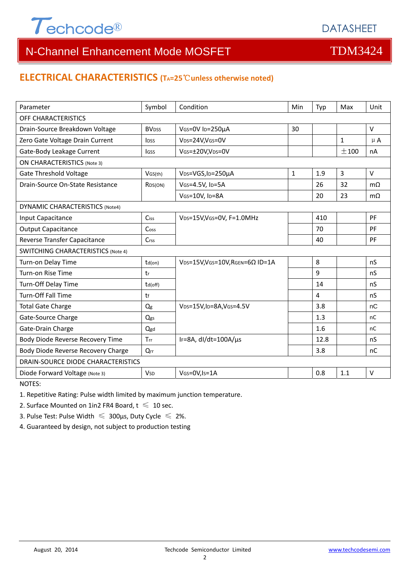

# N-Channel Enhancement Mode MOSFET THE TDM3424

## **ELECTRICAL CHARACTERISTICS (TA=25**℃**unless otherwise noted)**

| Parameter                                 | Symbol                  | Condition<br>Min                                              |  | Typ            | Max            | Unit           |  |  |  |
|-------------------------------------------|-------------------------|---------------------------------------------------------------|--|----------------|----------------|----------------|--|--|--|
| OFF CHARACTERISTICS                       |                         |                                                               |  |                |                |                |  |  |  |
| Drain-Source Breakdown Voltage            | <b>BV<sub>DSS</sub></b> | VGS=0V ID=250µA<br>30                                         |  |                |                | $\vee$         |  |  |  |
| Zero Gate Voltage Drain Current           | <b>l</b> <sub>pss</sub> | VDS=24V, VGS=0V                                               |  |                | $\mathbf{1}$   | $\mu$ A        |  |  |  |
| Gate-Body Leakage Current                 | <b>IGSS</b>             | VGS=±20V,VDS=0V                                               |  |                | ±100           | nA             |  |  |  |
| <b>ON CHARACTERISTICS (Note 3)</b>        |                         |                                                               |  |                |                |                |  |  |  |
| <b>Gate Threshold Voltage</b>             | VGS(th)                 | VDS=VGS, ID=250µA<br>1                                        |  | 1.9            | $\overline{3}$ | $\vee$         |  |  |  |
| Drain-Source On-State Resistance          | RDS(ON)                 | VGS=4.5V, ID=5A                                               |  | 26             | 32             | m <sub>O</sub> |  |  |  |
|                                           |                         | VGS=10V, ID=8A                                                |  | 20             | 23             | $m\Omega$      |  |  |  |
| DYNAMIC CHARACTERISTICS (Note4)           |                         |                                                               |  |                |                |                |  |  |  |
| Input Capacitance                         | Ciss                    | VDS=15V, VGS=0V, F=1.0MHz                                     |  | 410            |                | PF             |  |  |  |
| <b>Output Capacitance</b>                 | Coss                    |                                                               |  | 70             |                | PF             |  |  |  |
| Reverse Transfer Capacitance              | $C$ rss                 |                                                               |  | 40             |                | PF             |  |  |  |
| <b>SWITCHING CHARACTERISTICS (Note 4)</b> |                         |                                                               |  |                |                |                |  |  |  |
| Turn-on Delay Time                        | $td($ on $)$            | VDS=15V, VGS=10V, RGEN=6Ω ID=1A                               |  | 8              |                | nS             |  |  |  |
| Turn-on Rise Time                         | tr                      |                                                               |  | 9              |                | nS             |  |  |  |
| Turn-Off Delay Time                       | td(off)                 |                                                               |  | 14             |                | nS             |  |  |  |
| <b>Turn-Off Fall Time</b>                 | tf                      |                                                               |  | $\overline{4}$ |                | nS             |  |  |  |
| <b>Total Gate Charge</b>                  | Qg                      | V <sub>DS</sub> =15V,I <sub>D</sub> =8A,V <sub>GS</sub> =4.5V |  | 3.8            |                | nC             |  |  |  |
| Gate-Source Charge                        | Qgs                     |                                                               |  | 1.3            |                | nC             |  |  |  |
| Gate-Drain Charge                         | Qgd                     |                                                               |  | 1.6            |                | nC             |  |  |  |
| Body Diode Reverse Recovery Time          | Trr                     | IF=8A, dl/dt=100A/µs                                          |  | 12.8           |                | nS             |  |  |  |
| Body Diode Reverse Recovery Charge        | Qrr                     |                                                               |  | 3.8            |                | nC             |  |  |  |
| DRAIN-SOURCE DIODE CHARACTERISTICS        |                         |                                                               |  |                |                |                |  |  |  |
| Diode Forward Voltage (Note 3)            | <b>V<sub>SD</sub></b>   | VGS=0V,Is=1A                                                  |  | 0.8            | 1.1            | $\vee$         |  |  |  |

NOTES:

1. Repetitive Rating: Pulse width limited by maximum junction temperature.

2. Surface Mounted on 1in2 FR4 Board,  $t \leq 10$  sec.

3. Pulse Test: Pulse Width  $\leq 300$ μs, Duty Cycle  $\leq 2\%$ .

4. Guaranteed by design, not subject to production testing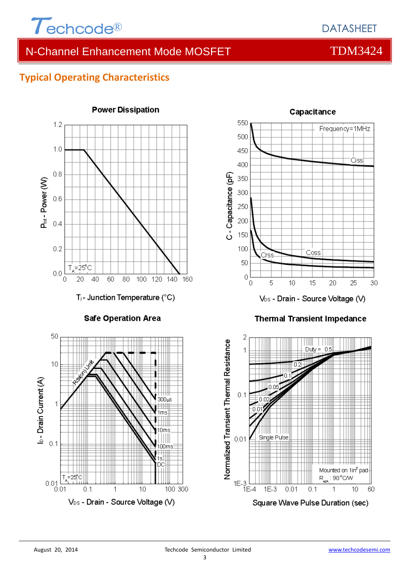

## DATASHEET

## N-Channel Enhancement Mode MOSFET THE TDM3424

## **Typical Operating Characteristics**



**Safe Operation Area** 



### **Power Dissipation**



V<sub>DS</sub> - Drain - Source Voltage (V)

### **Thermal Transient Impedance**

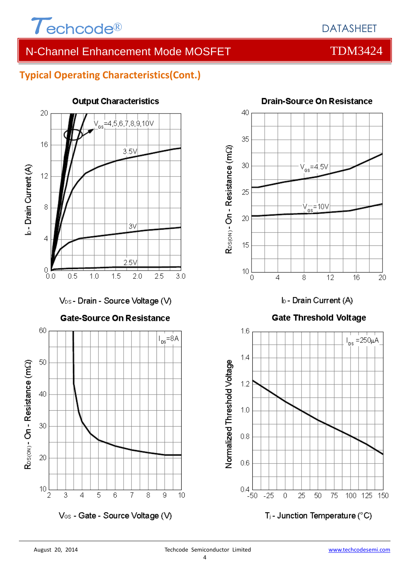

# N-Channel Enhancement Mode MOSFET TOM3424

## **Typical Operating Characteristics(Cont.)**



35 RDS(ON) - On - Resistance (mΩ) 30  $V_{gs} = 4.5V$ 25 :=10∖ 20 15  $10<sup>°</sup>$  $\overline{0}$ 12 4 8 16

40

**Drain-Source On Resistance** 



20



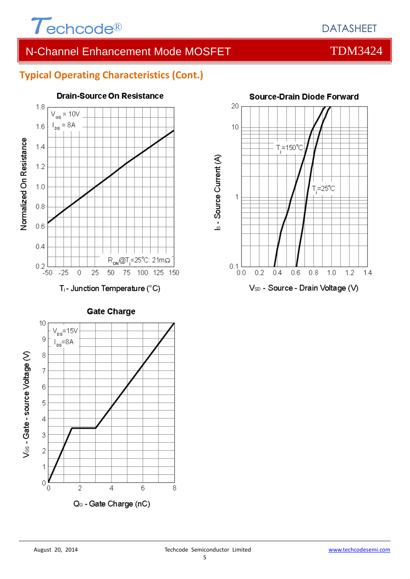

# N-Channel Enhancement Mode MOSFET THE TOM3424

## **Typical Operating Characteristics (Cont.)**



**Drain-Source On Resistance** 



**Gate Charge** 

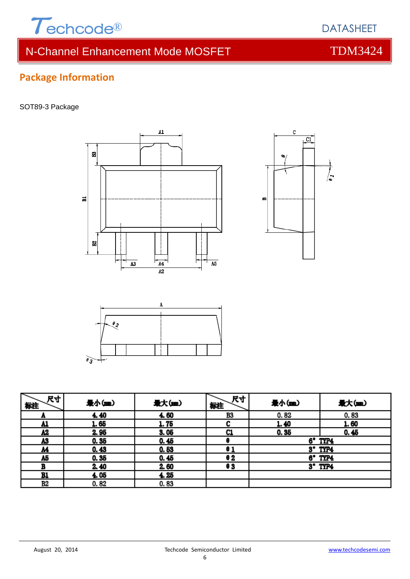

# N-Channel Enhancement Mode MOSFET THE TDM3424

# **Package Information**

### SOT89-3 Package







| 尺寸<br>标注  | 最小(mm) | 最大(mm) | 尺寸<br>标注 | 最小(mm) | 最大(m)     |
|-----------|--------|--------|----------|--------|-----------|
| n         | 4.40   | 4.60   | B3       | 0.82   | 0.83      |
| <u>A1</u> | 1.65   | 1.75   |          | 1.40   | 1.60      |
| A2        | 2.95   | 3.05   | C1       | 0.35   | 0.45      |
| A3        | 0.35   | 0.45   |          |        | 6° TYP4   |
| <u>M</u>  | 0.43   | 0.53   | θ1       | 3°     | TYP4      |
| A5        | 0.35   | 0.45   | θ2       | 6°     | TTP4      |
|           | 2.40   | 2.60   | e 3      |        | $3°$ TYP4 |
| B1        | 4.05   | 4.25   |          |        |           |
| В2        | 0.82   | 0.83   |          |        |           |

## DATASHEET